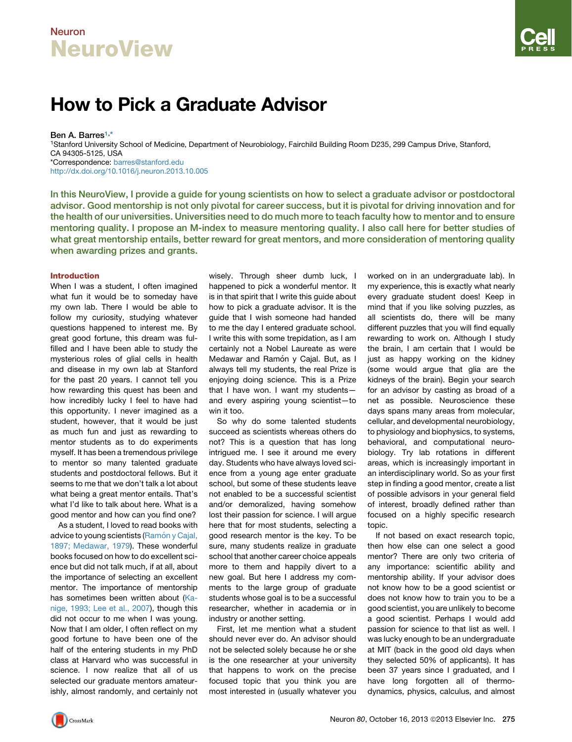# How to Pick a Graduate Advisor

Ben A. Barres<sup>1,\*</sup>

1Stanford University School of Medicine, Department of Neurobiology, Fairchild Building Room D235, 299 Campus Drive, Stanford, CA 94305-5125, USA \*Correspondence: [barres@stanford.edu](mailto:barres@stanford.edu) <http://dx.doi.org/10.1016/j.neuron.2013.10.005>

In this NeuroView, I provide a guide for young scientists on how to select a graduate advisor or postdoctoral advisor. Good mentorship is not only pivotal for career success, but it is pivotal for driving innovation and for the health of our universities. Universities need to do much more to teach faculty how to mentor and to ensure mentoring quality. I propose an M-index to measure mentoring quality. I also call here for better studies of what great mentorship entails, better reward for great mentors, and more consideration of mentoring quality when awarding prizes and grants.

### Introduction

When I was a student, I often imagined what fun it would be to someday have my own lab. There I would be able to follow my curiosity, studying whatever questions happened to interest me. By great good fortune, this dream was fulfilled and I have been able to study the mysterious roles of glial cells in health and disease in my own lab at Stanford for the past 20 years. I cannot tell you how rewarding this quest has been and how incredibly lucky I feel to have had this opportunity. I never imagined as a student, however, that it would be just as much fun and just as rewarding to mentor students as to do experiments myself. It has been a tremendous privilege to mentor so many talented graduate students and postdoctoral fellows. But it seems to me that we don't talk a lot about what being a great mentor entails. That's what I'd like to talk about here. What is a good mentor and how can you find one?

As a student, I loved to read books with advice to young scientists (Ramó[n y Cajal,](#page-4-0) [1897; Medawar, 1979](#page-4-0)). These wonderful books focused on how to do excellent science but did not talk much, if at all, about the importance of selecting an excellent mentor. The importance of mentorship has sometimes been written about [\(Ka](#page-4-0)[nige, 1993; Lee et al., 2007](#page-4-0)), though this did not occur to me when I was young. Now that I am older, I often reflect on my good fortune to have been one of the half of the entering students in my PhD class at Harvard who was successful in science. I now realize that all of us selected our graduate mentors amateurishly, almost randomly, and certainly not wisely. Through sheer dumb luck, I happened to pick a wonderful mentor. It is in that spirit that I write this guide about how to pick a graduate advisor. It is the guide that I wish someone had handed to me the day I entered graduate school. I write this with some trepidation, as I am certainly not a Nobel Laureate as were Medawar and Ramón y Cajal. But, as I always tell my students, the real Prize is enjoying doing science. This is a Prize that I have won. I want my students and every aspiring young scientist—to win it too.

So why do some talented students succeed as scientists whereas others do not? This is a question that has long intrigued me. I see it around me every day. Students who have always loved science from a young age enter graduate school, but some of these students leave not enabled to be a successful scientist and/or demoralized, having somehow lost their passion for science. I will argue here that for most students, selecting a good research mentor is the key. To be sure, many students realize in graduate school that another career choice appeals more to them and happily divert to a new goal. But here I address my comments to the large group of graduate students whose goal is to be a successful researcher, whether in academia or in industry or another setting.

First, let me mention what a student should never ever do. An advisor should not be selected solely because he or she is the one researcher at your university that happens to work on the precise focused topic that you think you are most interested in (usually whatever you

worked on in an undergraduate lab). In my experience, this is exactly what nearly every graduate student does! Keep in mind that if you like solving puzzles, as all scientists do, there will be many different puzzles that you will find equally rewarding to work on. Although I study the brain, I am certain that I would be just as happy working on the kidney (some would argue that glia are the kidneys of the brain). Begin your search for an advisor by casting as broad of a net as possible. Neuroscience these days spans many areas from molecular, cellular, and developmental neurobiology, to physiology and biophysics, to systems, behavioral, and computational neurobiology. Try lab rotations in different areas, which is increasingly important in an interdisciplinary world. So as your first step in finding a good mentor, create a list of possible advisors in your general field of interest, broadly defined rather than focused on a highly specific research topic.

If not based on exact research topic, then how else can one select a good mentor? There are only two criteria of any importance: scientific ability and mentorship ability. If your advisor does not know how to be a good scientist or does not know how to train you to be a good scientist, you are unlikely to become a good scientist. Perhaps I would add passion for science to that list as well. I was lucky enough to be an undergraduate at MIT (back in the good old days when they selected 50% of applicants). It has been 37 years since I graduated, and I have long forgotten all of thermodynamics, physics, calculus, and almost

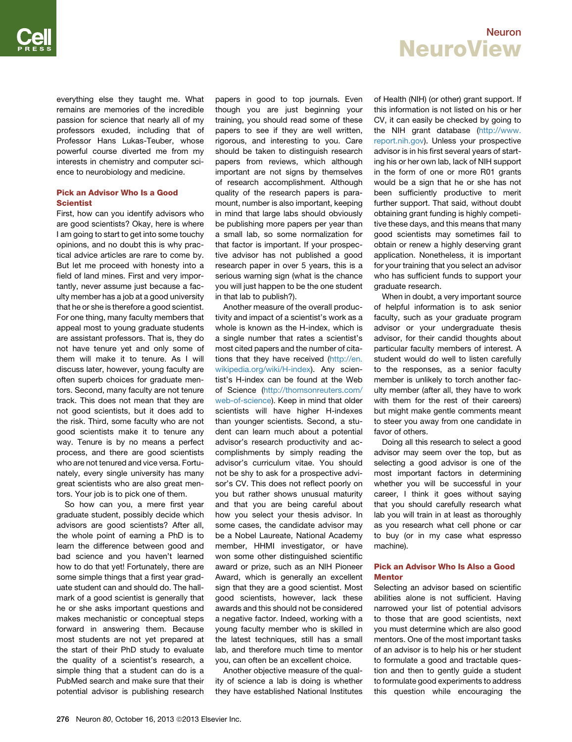everything else they taught me. What remains are memories of the incredible passion for science that nearly all of my professors exuded, including that of Professor Hans Lukas-Teuber, whose powerful course diverted me from my interests in chemistry and computer science to neurobiology and medicine.

## Pick an Advisor Who Is a Good **Scientist**

First, how can you identify advisors who are good scientists? Okay, here is where I am going to start to get into some touchy opinions, and no doubt this is why practical advice articles are rare to come by. But let me proceed with honesty into a field of land mines. First and very importantly, never assume just because a faculty member has a job at a good university that he or she is therefore a good scientist. For one thing, many faculty members that appeal most to young graduate students are assistant professors. That is, they do not have tenure yet and only some of them will make it to tenure. As I will discuss later, however, young faculty are often superb choices for graduate mentors. Second, many faculty are not tenure track. This does not mean that they are not good scientists, but it does add to the risk. Third, some faculty who are not good scientists make it to tenure any way. Tenure is by no means a perfect process, and there are good scientists who are not tenured and vice versa. Fortunately, every single university has many great scientists who are also great mentors. Your job is to pick one of them.

So how can you, a mere first year graduate student, possibly decide which advisors are good scientists? After all, the whole point of earning a PhD is to learn the difference between good and bad science and you haven't learned how to do that yet! Fortunately, there are some simple things that a first year graduate student can and should do. The hallmark of a good scientist is generally that he or she asks important questions and makes mechanistic or conceptual steps forward in answering them. Because most students are not yet prepared at the start of their PhD study to evaluate the quality of a scientist's research, a simple thing that a student can do is a PubMed search and make sure that their potential advisor is publishing research

papers in good to top journals. Even though you are just beginning your training, you should read some of these papers to see if they are well written, rigorous, and interesting to you. Care should be taken to distinguish research papers from reviews, which although important are not signs by themselves of research accomplishment. Although quality of the research papers is paramount, number is also important, keeping in mind that large labs should obviously be publishing more papers per year than a small lab, so some normalization for that factor is important. If your prospective advisor has not published a good research paper in over 5 years, this is a serious warning sign (what is the chance you will just happen to be the one student in that lab to publish?).

Another measure of the overall productivity and impact of a scientist's work as a whole is known as the H-index, which is a single number that rates a scientist's most cited papers and the number of citations that they have received ([http://en.](http://en.wikipedia.org/wiki/H-index) [wikipedia.org/wiki/H-index\)](http://en.wikipedia.org/wiki/H-index). Any scientist's H-index can be found at the Web of Science [\(http://thomsonreuters.com/](http://thomsonreuters.com/web-of-science) [web-of-science](http://thomsonreuters.com/web-of-science)). Keep in mind that older scientists will have higher H-indexes than younger scientists. Second, a student can learn much about a potential advisor's research productivity and accomplishments by simply reading the advisor's curriculum vitae. You should not be shy to ask for a prospective advisor's CV. This does not reflect poorly on you but rather shows unusual maturity and that you are being careful about how you select your thesis advisor. In some cases, the candidate advisor may be a Nobel Laureate, National Academy member, HHMI investigator, or have won some other distinguished scientific award or prize, such as an NIH Pioneer Award, which is generally an excellent sign that they are a good scientist. Most good scientists, however, lack these awards and this should not be considered a negative factor. Indeed, working with a young faculty member who is skilled in the latest techniques, still has a small lab, and therefore much time to mentor you, can often be an excellent choice.

Another objective measure of the quality of science a lab is doing is whether they have established National Institutes

# Neuron **NeuroView**

of Health (NIH) (or other) grant support. If this information is not listed on his or her CV, it can easily be checked by going to the NIH grant database [\(http://www.](http://www.report.nih.gov) [report.nih.gov](http://www.report.nih.gov)). Unless your prospective advisor is in his first several years of starting his or her own lab, lack of NIH support in the form of one or more R01 grants would be a sign that he or she has not been sufficiently productive to merit further support. That said, without doubt obtaining grant funding is highly competitive these days, and this means that many good scientists may sometimes fail to obtain or renew a highly deserving grant application. Nonetheless, it is important for your training that you select an advisor who has sufficient funds to support your graduate research.

When in doubt, a very important source of helpful information is to ask senior faculty, such as your graduate program advisor or your undergraduate thesis advisor, for their candid thoughts about particular faculty members of interest. A student would do well to listen carefully to the responses, as a senior faculty member is unlikely to torch another faculty member (after all, they have to work with them for the rest of their careers) but might make gentle comments meant to steer you away from one candidate in favor of others.

Doing all this research to select a good advisor may seem over the top, but as selecting a good advisor is one of the most important factors in determining whether you will be successful in your career, I think it goes without saying that you should carefully research what lab you will train in at least as thoroughly as you research what cell phone or car to buy (or in my case what espresso machine).

## Pick an Advisor Who Is Also a Good Mentor

Selecting an advisor based on scientific abilities alone is not sufficient. Having narrowed your list of potential advisors to those that are good scientists, next you must determine which are also good mentors. One of the most important tasks of an advisor is to help his or her student to formulate a good and tractable question and then to gently guide a student to formulate good experiments to address this question while encouraging the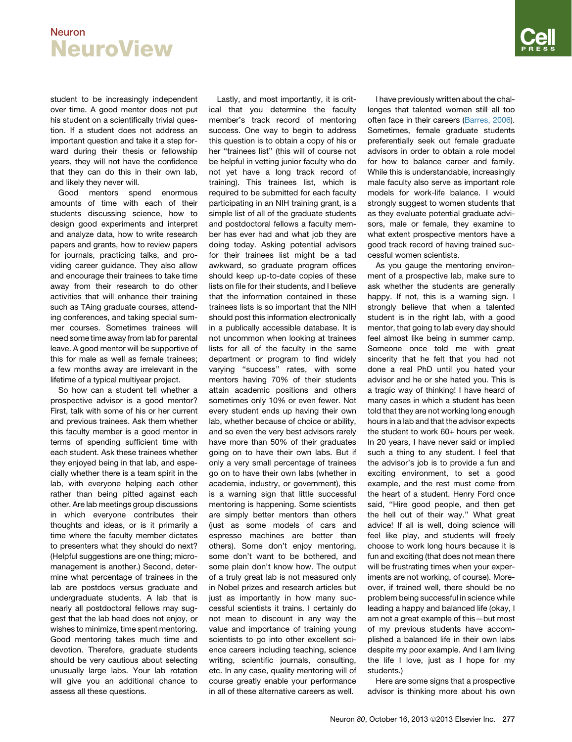student to be increasingly independent over time. A good mentor does not put his student on a scientifically trivial question. If a student does not address an important question and take it a step forward during their thesis or fellowship years, they will not have the confidence that they can do this in their own lab, and likely they never will.

Good mentors spend enormous amounts of time with each of their students discussing science, how to design good experiments and interpret and analyze data, how to write research papers and grants, how to review papers for journals, practicing talks, and providing career guidance. They also allow and encourage their trainees to take time away from their research to do other activities that will enhance their training such as TAing graduate courses, attending conferences, and taking special summer courses. Sometimes trainees will need some time away from lab for parental leave. A good mentor will be supportive of this for male as well as female trainees; a few months away are irrelevant in the lifetime of a typical multiyear project.

So how can a student tell whether a prospective advisor is a good mentor? First, talk with some of his or her current and previous trainees. Ask them whether this faculty member is a good mentor in terms of spending sufficient time with each student. Ask these trainees whether they enjoyed being in that lab, and especially whether there is a team spirit in the lab, with everyone helping each other rather than being pitted against each other. Are lab meetings group discussions in which everyone contributes their thoughts and ideas, or is it primarily a time where the faculty member dictates to presenters what they should do next? (Helpful suggestions are one thing; micromanagement is another.) Second, determine what percentage of trainees in the lab are postdocs versus graduate and undergraduate students. A lab that is nearly all postdoctoral fellows may suggest that the lab head does not enjoy, or wishes to minimize, time spent mentoring. Good mentoring takes much time and devotion. Therefore, graduate students should be very cautious about selecting unusually large labs. Your lab rotation will give you an additional chance to assess all these questions.

Lastly, and most importantly, it is critical that you determine the faculty member's track record of mentoring success. One way to begin to address this question is to obtain a copy of his or her ''trainees list'' (this will of course not be helpful in vetting junior faculty who do not yet have a long track record of training). This trainees list, which is required to be submitted for each faculty participating in an NIH training grant, is a simple list of all of the graduate students and postdoctoral fellows a faculty member has ever had and what job they are doing today. Asking potential advisors for their trainees list might be a tad awkward, so graduate program offices should keep up-to-date copies of these lists on file for their students, and I believe that the information contained in these trainees lists is so important that the NIH should post this information electronically in a publically accessible database. It is not uncommon when looking at trainees lists for all of the faculty in the same department or program to find widely varying "success" rates, with some mentors having 70% of their students attain academic positions and others sometimes only 10% or even fewer. Not every student ends up having their own lab, whether because of choice or ability, and so even the very best advisors rarely have more than 50% of their graduates going on to have their own labs. But if only a very small percentage of trainees go on to have their own labs (whether in academia, industry, or government), this is a warning sign that little successful mentoring is happening. Some scientists are simply better mentors than others (just as some models of cars and espresso machines are better than others). Some don't enjoy mentoring, some don't want to be bothered, and some plain don't know how. The output of a truly great lab is not measured only in Nobel prizes and research articles but just as importantly in how many successful scientists it trains. I certainly do not mean to discount in any way the value and importance of training young scientists to go into other excellent science careers including teaching, science writing, scientific journals, consulting, etc. In any case, quality mentoring will of course greatly enable your performance in all of these alternative careers as well.

I have previously written about the challenges that talented women still all too often face in their careers [\(Barres, 2006\)](#page-4-0). Sometimes, female graduate students preferentially seek out female graduate advisors in order to obtain a role model for how to balance career and family. While this is understandable, increasingly male faculty also serve as important role models for work-life balance. I would strongly suggest to women students that as they evaluate potential graduate advisors, male or female, they examine to what extent prospective mentors have a good track record of having trained successful women scientists.

As you gauge the mentoring environment of a prospective lab, make sure to ask whether the students are generally happy. If not, this is a warning sign. I strongly believe that when a talented student is in the right lab, with a good mentor, that going to lab every day should feel almost like being in summer camp. Someone once told me with great sincerity that he felt that you had not done a real PhD until you hated your advisor and he or she hated you. This is a tragic way of thinking! I have heard of many cases in which a student has been told that they are not working long enough hours in a lab and that the advisor expects the student to work 60+ hours per week. In 20 years, I have never said or implied such a thing to any student. I feel that the advisor's job is to provide a fun and exciting environment, to set a good example, and the rest must come from the heart of a student. Henry Ford once said, ''Hire good people, and then get the hell out of their way.'' What great advice! If all is well, doing science will feel like play, and students will freely choose to work long hours because it is fun and exciting (that does not mean there will be frustrating times when your experiments are not working, of course). Moreover, if trained well, there should be no problem being successful in science while leading a happy and balanced life (okay, I am not a great example of this—but most of my previous students have accomplished a balanced life in their own labs despite my poor example. And I am living the life I love, just as I hope for my students.)

Here are some signs that a prospective advisor is thinking more about his own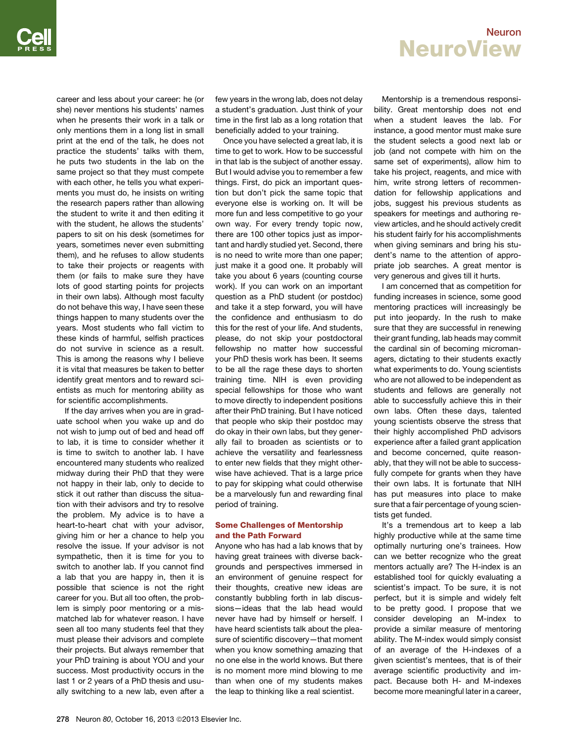career and less about your career: he (or she) never mentions his students' names when he presents their work in a talk or only mentions them in a long list in small print at the end of the talk, he does not practice the students' talks with them, he puts two students in the lab on the same project so that they must compete with each other, he tells you what experiments you must do, he insists on writing the research papers rather than allowing the student to write it and then editing it with the student, he allows the students' papers to sit on his desk (sometimes for years, sometimes never even submitting them), and he refuses to allow students to take their projects or reagents with them (or fails to make sure they have lots of good starting points for projects in their own labs). Although most faculty do not behave this way, I have seen these things happen to many students over the years. Most students who fall victim to these kinds of harmful, selfish practices do not survive in science as a result. This is among the reasons why I believe it is vital that measures be taken to better identify great mentors and to reward scientists as much for mentoring ability as for scientific accomplishments.

If the day arrives when you are in graduate school when you wake up and do not wish to jump out of bed and head off to lab, it is time to consider whether it is time to switch to another lab. I have encountered many students who realized midway during their PhD that they were not happy in their lab, only to decide to stick it out rather than discuss the situation with their advisors and try to resolve the problem. My advice is to have a heart-to-heart chat with your advisor, giving him or her a chance to help you resolve the issue. If your advisor is not sympathetic, then it is time for you to switch to another lab. If you cannot find a lab that you are happy in, then it is possible that science is not the right career for you. But all too often, the problem is simply poor mentoring or a mismatched lab for whatever reason. I have seen all too many students feel that they must please their advisors and complete their projects. But always remember that your PhD training is about YOU and your success. Most productivity occurs in the last 1 or 2 years of a PhD thesis and usually switching to a new lab, even after a

few years in the wrong lab, does not delay a student's graduation. Just think of your time in the first lab as a long rotation that beneficially added to your training.

Once you have selected a great lab, it is time to get to work. How to be successful in that lab is the subject of another essay. But I would advise you to remember a few things. First, do pick an important question but don't pick the same topic that everyone else is working on. It will be more fun and less competitive to go your own way. For every trendy topic now, there are 100 other topics just as important and hardly studied yet. Second, there is no need to write more than one paper; just make it a good one. It probably will take you about 6 years (counting course work). If you can work on an important question as a PhD student (or postdoc) and take it a step forward, you will have the confidence and enthusiasm to do this for the rest of your life. And students, please, do not skip your postdoctoral fellowship no matter how successful your PhD thesis work has been. It seems to be all the rage these days to shorten training time. NIH is even providing special fellowships for those who want to move directly to independent positions after their PhD training. But I have noticed that people who skip their postdoc may do okay in their own labs, but they generally fail to broaden as scientists or to achieve the versatility and fearlessness to enter new fields that they might otherwise have achieved. That is a large price to pay for skipping what could otherwise be a marvelously fun and rewarding final period of training.

## Some Challenges of Mentorship and the Path Forward

Anyone who has had a lab knows that by having great trainees with diverse backgrounds and perspectives immersed in an environment of genuine respect for their thoughts, creative new ideas are constantly bubbling forth in lab discussions—ideas that the lab head would never have had by himself or herself. I have heard scientists talk about the pleasure of scientific discovery—that moment when you know something amazing that no one else in the world knows. But there is no moment more mind blowing to me than when one of my students makes the leap to thinking like a real scientist.

Mentorship is a tremendous responsibility. Great mentorship does not end when a student leaves the lab. For instance, a good mentor must make sure the student selects a good next lab or job (and not compete with him on the same set of experiments), allow him to take his project, reagents, and mice with him, write strong letters of recommendation for fellowship applications and jobs, suggest his previous students as speakers for meetings and authoring review articles, and he should actively credit his student fairly for his accomplishments when giving seminars and bring his student's name to the attention of appropriate job searches. A great mentor is very generous and gives till it hurts.

I am concerned that as competition for funding increases in science, some good mentoring practices will increasingly be put into jeopardy. In the rush to make sure that they are successful in renewing their grant funding, lab heads may commit the cardinal sin of becoming micromanagers, dictating to their students exactly what experiments to do. Young scientists who are not allowed to be independent as students and fellows are generally not able to successfully achieve this in their own labs. Often these days, talented young scientists observe the stress that their highly accomplished PhD advisors experience after a failed grant application and become concerned, quite reasonably, that they will not be able to successfully compete for grants when they have their own labs. It is fortunate that NIH has put measures into place to make sure that a fair percentage of young scientists get funded.

It's a tremendous art to keep a lab highly productive while at the same time optimally nurturing one's trainees. How can we better recognize who the great mentors actually are? The H-index is an established tool for quickly evaluating a scientist's impact. To be sure, it is not perfect, but it is simple and widely felt to be pretty good. I propose that we consider developing an M-index to provide a similar measure of mentoring ability. The M-index would simply consist of an average of the H-indexes of a given scientist's mentees, that is of their average scientific productivity and impact. Because both H- and M-indexes become more meaningful later in a career,